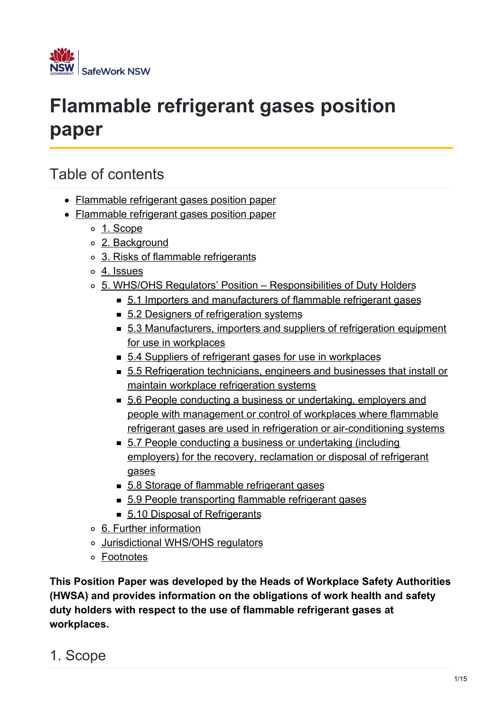

# **Flammable refrigerant gases position paper**

## Table of contents

- Flammable refrigerant gases position paper
- Flammable refrigerant gases position paper
	- 1. [Scope](#page-0-0)
	- 2. [Background](#page-1-0)
	- o 3. Risks of flammable [refrigerants](#page-2-0)
	- 4. [Issues](#page-2-1)
	- 5. WHS/OHS Regulators' Position [Responsibilities](#page-3-0) of Duty Holders
		- 5.1 Importers and [manufacturers](#page-3-1) of flammable refrigerant gases
		- 5.2 Designers of [refrigeration](#page-4-0) systems
		- 5.3 [Manufacturers,](#page-5-0) importers and suppliers of refrigeration equipment for use in workplaces
		- 5.4 Suppliers of refrigerant gases for use in [workplaces](#page-6-0)
		- 5.5 [Refrigeration](#page-6-1) technicians, engineers and businesses that install or maintain workplace refrigeration systems
		- 5.6 People conducting a business or undertaking, employers and people with management or control of workplaces where flammable refrigerant gases are used in refrigeration or [air-conditioning](#page-9-0) systems
		- 5.7 People conducting a business or [undertaking](#page-11-0) (including employers) for the recovery, reclamation or disposal of refrigerant gases
		- 5.8 Storage of [flammable](#page-12-0) refrigerant gases
		- 5.9 People [transporting](#page-12-1) flammable refrigerant gases
		- 5.10 Disposal of [Refrigerants](#page-12-2)
	- 6. Further [information](#page-12-3)
	- [Jurisdictional](#page-14-0) WHS/OHS regulators
	- [Footnotes](#page-14-1)

**This Position Paper was developed by the Heads of Workplace Safety Authorities (HWSA) and provides information on the obligations of work health and safety duty holders with respect to the use of flammable refrigerant gases at workplaces.**

<span id="page-0-0"></span>1. Scope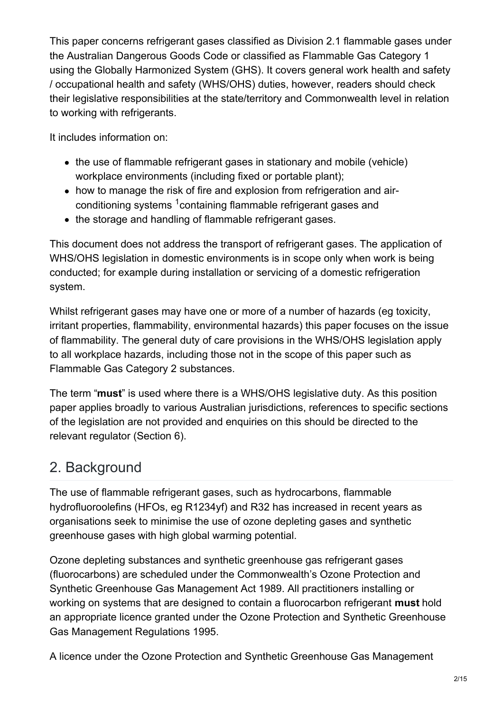This paper concerns refrigerant gases classified as Division 2.1 flammable gases under the Australian Dangerous Goods Code or classified as Flammable Gas Category 1 using the Globally Harmonized System (GHS). It covers general work health and safety / occupational health and safety (WHS/OHS) duties, however, readers should check their legislative responsibilities at the state/territory and Commonwealth level in relation to working with refrigerants.

It includes information on:

- the use of flammable refrigerant gases in stationary and mobile (vehicle) workplace environments (including fixed or portable plant);
- how to manage the risk of fire and explosion from refrigeration and airconditioning systems  $1$ containing flammable refrigerant gases and
- the storage and handling of flammable refrigerant gases.

This document does not address the transport of refrigerant gases. The application of WHS/OHS legislation in domestic environments is in scope only when work is being conducted; for example during installation or servicing of a domestic refrigeration system.

Whilst refrigerant gases may have one or more of a number of hazards (eg toxicity, irritant properties, flammability, environmental hazards) this paper focuses on the issue of flammability. The general duty of care provisions in the WHS/OHS legislation apply to all workplace hazards, including those not in the scope of this paper such as Flammable Gas Category 2 substances.

The term "**must**" is used where there is a WHS/OHS legislative duty. As this position paper applies broadly to various Australian jurisdictions, references to specific sections of the legislation are not provided and enquiries on this should be directed to the relevant regulator (Section 6).

## <span id="page-1-0"></span>2. Background

The use of flammable refrigerant gases, such as hydrocarbons, flammable hydrofluoroolefins (HFOs, eg R1234yf) and R32 has increased in recent years as organisations seek to minimise the use of ozone depleting gases and synthetic greenhouse gases with high global warming potential.

Ozone depleting substances and synthetic greenhouse gas refrigerant gases (fluorocarbons) are scheduled under the Commonwealth's Ozone Protection and Synthetic Greenhouse Gas Management Act 1989. All practitioners installing or working on systems that are designed to contain a fluorocarbon refrigerant **must** hold an appropriate licence granted under the Ozone Protection and Synthetic Greenhouse Gas Management Regulations 1995.

A licence under the Ozone Protection and Synthetic Greenhouse Gas Management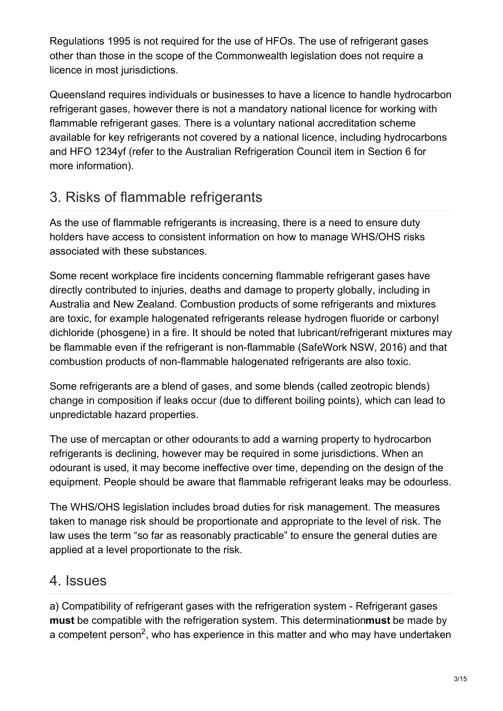Regulations 1995 is not required for the use of HFOs. The use of refrigerant gases other than those in the scope of the Commonwealth legislation does not require a licence in most jurisdictions.

Queensland requires individuals or businesses to have a licence to handle hydrocarbon refrigerant gases, however there is not a mandatory national licence for working with flammable refrigerant gases. There is a voluntary national accreditation scheme available for key refrigerants not covered by a national licence, including hydrocarbons and HFO 1234yf (refer to the Australian Refrigeration Council item in Section 6 for more information).

## <span id="page-2-0"></span>3. Risks of flammable refrigerants

As the use of flammable refrigerants is increasing, there is a need to ensure duty holders have access to consistent information on how to manage WHS/OHS risks associated with these substances.

Some recent workplace fire incidents concerning flammable refrigerant gases have directly contributed to injuries, deaths and damage to property globally, including in Australia and New Zealand. Combustion products of some refrigerants and mixtures are toxic, for example halogenated refrigerants release hydrogen fluoride or carbonyl dichloride (phosgene) in a fire. It should be noted that lubricant/refrigerant mixtures may be flammable even if the refrigerant is non-flammable (SafeWork NSW, 2016) and that combustion products of non-flammable halogenated refrigerants are also toxic.

Some refrigerants are a blend of gases, and some blends (called zeotropic blends) change in composition if leaks occur (due to different boiling points), which can lead to unpredictable hazard properties.

The use of mercaptan or other odourants to add a warning property to hydrocarbon refrigerants is declining, however may be required in some jurisdictions. When an odourant is used, it may become ineffective over time, depending on the design of the equipment. People should be aware that flammable refrigerant leaks may be odourless.

The WHS/OHS legislation includes broad duties for risk management. The measures taken to manage risk should be proportionate and appropriate to the level of risk. The law uses the term "so far as reasonably practicable" to ensure the general duties are applied at a level proportionate to the risk.

## <span id="page-2-1"></span>4. Issues

a) Compatibility of refrigerant gases with the refrigeration system - Refrigerant gases **must** be compatible with the refrigeration system. This determination**must** be made by a competent person<sup>2</sup>, who has experience in this matter and who may have undertaken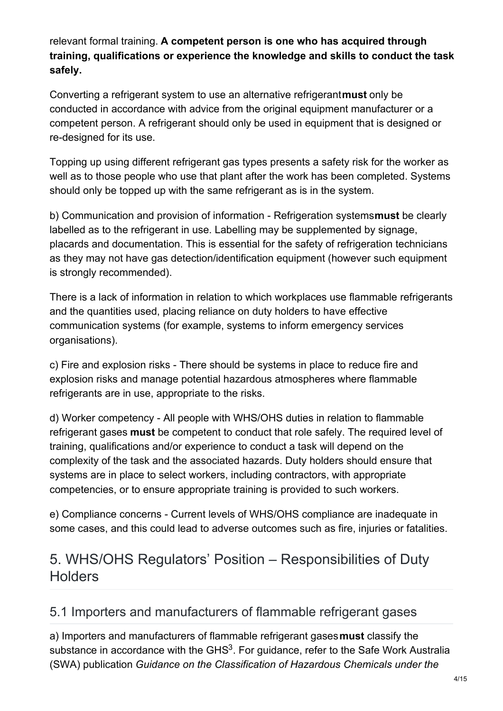relevant formal training. **A competent person is one who has acquired through training, qualifications or experience the knowledge and skills to conduct the task safely.**

Converting a refrigerant system to use an alternative refrigerant**must** only be conducted in accordance with advice from the original equipment manufacturer or a competent person. A refrigerant should only be used in equipment that is designed or re-designed for its use.

Topping up using different refrigerant gas types presents a safety risk for the worker as well as to those people who use that plant after the work has been completed. Systems should only be topped up with the same refrigerant as is in the system.

b) Communication and provision of information - Refrigeration systems**must** be clearly labelled as to the refrigerant in use. Labelling may be supplemented by signage, placards and documentation. This is essential for the safety of refrigeration technicians as they may not have gas detection/identification equipment (however such equipment is strongly recommended).

There is a lack of information in relation to which workplaces use flammable refrigerants and the quantities used, placing reliance on duty holders to have effective communication systems (for example, systems to inform emergency services organisations).

c) Fire and explosion risks - There should be systems in place to reduce fire and explosion risks and manage potential hazardous atmospheres where flammable refrigerants are in use, appropriate to the risks.

d) Worker competency - All people with WHS/OHS duties in relation to flammable refrigerant gases **must** be competent to conduct that role safely. The required level of training, qualifications and/or experience to conduct a task will depend on the complexity of the task and the associated hazards. Duty holders should ensure that systems are in place to select workers, including contractors, with appropriate competencies, or to ensure appropriate training is provided to such workers.

e) Compliance concerns - Current levels of WHS/OHS compliance are inadequate in some cases, and this could lead to adverse outcomes such as fire, injuries or fatalities.

## <span id="page-3-0"></span>5. WHS/OHS Regulators' Position – Responsibilities of Duty **Holders**

#### <span id="page-3-1"></span>5.1 Importers and manufacturers of flammable refrigerant gases

a) Importers and manufacturers of flammable refrigerant gases**must** classify the substance in accordance with the GHS<sup>3</sup>. For guidance, refer to the Safe Work Australia (SWA) publication *Guidance on the Classification of Hazardous Chemicals under the*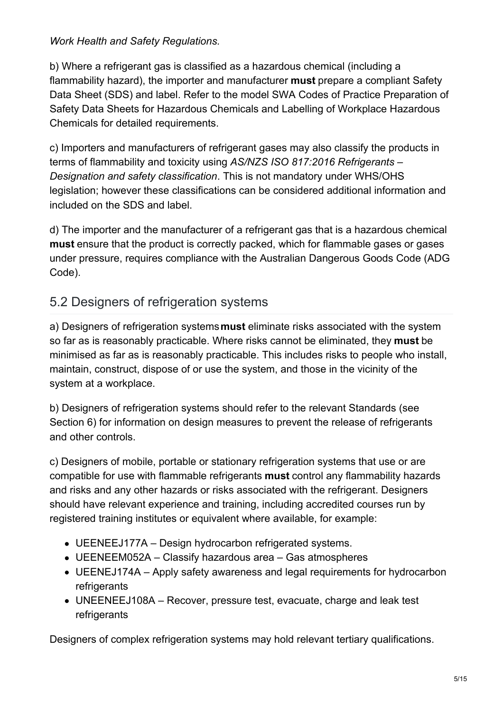#### *Work Health and Safety Regulations.*

b) Where a refrigerant gas is classified as a hazardous chemical (including a flammability hazard), the importer and manufacturer **must** prepare a compliant Safety Data Sheet (SDS) and label. Refer to the model SWA Codes of Practice Preparation of Safety Data Sheets for Hazardous Chemicals and Labelling of Workplace Hazardous Chemicals for detailed requirements.

c) Importers and manufacturers of refrigerant gases may also classify the products in terms of flammability and toxicity using *AS/NZS ISO 817:2016 Refrigerants – Designation and safety classification*. This is not mandatory under WHS/OHS legislation; however these classifications can be considered additional information and included on the SDS and label.

d) The importer and the manufacturer of a refrigerant gas that is a hazardous chemical **must** ensure that the product is correctly packed, which for flammable gases or gases under pressure, requires compliance with the Australian Dangerous Goods Code (ADG Code).

#### <span id="page-4-0"></span>5.2 Designers of refrigeration systems

a) Designers of refrigeration systems**must** eliminate risks associated with the system so far as is reasonably practicable. Where risks cannot be eliminated, they **must** be minimised as far as is reasonably practicable. This includes risks to people who install, maintain, construct, dispose of or use the system, and those in the vicinity of the system at a workplace.

b) Designers of refrigeration systems should refer to the relevant Standards (see Section 6) for information on design measures to prevent the release of refrigerants and other controls.

c) Designers of mobile, portable or stationary refrigeration systems that use or are compatible for use with flammable refrigerants **must** control any flammability hazards and risks and any other hazards or risks associated with the refrigerant. Designers should have relevant experience and training, including accredited courses run by registered training institutes or equivalent where available, for example:

- UEENEEJ177A Design hydrocarbon refrigerated systems.
- UEENEEM052A Classify hazardous area Gas atmospheres
- UEENEJ174A Apply safety awareness and legal requirements for hydrocarbon refrigerants
- UNEENEEJ108A Recover, pressure test, evacuate, charge and leak test refrigerants

Designers of complex refrigeration systems may hold relevant tertiary qualifications.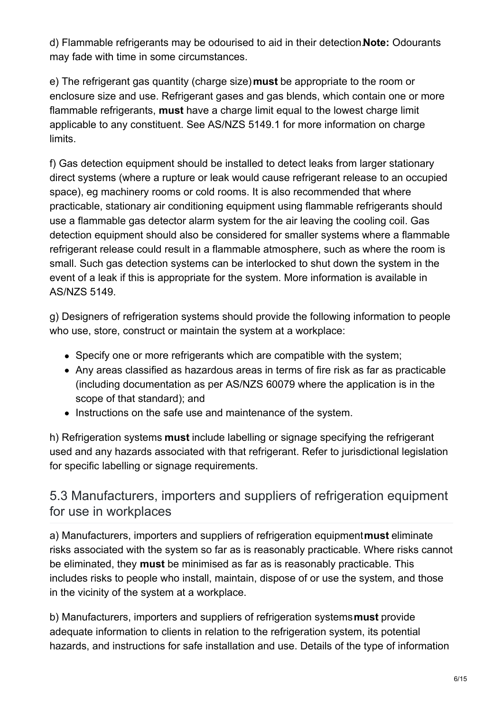d) Flammable refrigerants may be odourised to aid in their detection.**Note:** Odourants may fade with time in some circumstances.

e) The refrigerant gas quantity (charge size)**must** be appropriate to the room or enclosure size and use. Refrigerant gases and gas blends, which contain one or more flammable refrigerants, **must** have a charge limit equal to the lowest charge limit applicable to any constituent. See AS/NZS 5149.1 for more information on charge limits.

f) Gas detection equipment should be installed to detect leaks from larger stationary direct systems (where a rupture or leak would cause refrigerant release to an occupied space), eg machinery rooms or cold rooms. It is also recommended that where practicable, stationary air conditioning equipment using flammable refrigerants should use a flammable gas detector alarm system for the air leaving the cooling coil. Gas detection equipment should also be considered for smaller systems where a flammable refrigerant release could result in a flammable atmosphere, such as where the room is small. Such gas detection systems can be interlocked to shut down the system in the event of a leak if this is appropriate for the system. More information is available in AS/NZS 5149.

g) Designers of refrigeration systems should provide the following information to people who use, store, construct or maintain the system at a workplace:

- Specify one or more refrigerants which are compatible with the system;
- Any areas classified as hazardous areas in terms of fire risk as far as practicable (including documentation as per AS/NZS 60079 where the application is in the scope of that standard); and
- Instructions on the safe use and maintenance of the system.

h) Refrigeration systems **must** include labelling or signage specifying the refrigerant used and any hazards associated with that refrigerant. Refer to jurisdictional legislation for specific labelling or signage requirements.

#### <span id="page-5-0"></span>5.3 Manufacturers, importers and suppliers of refrigeration equipment for use in workplaces

a) Manufacturers, importers and suppliers of refrigeration equipment**must** eliminate risks associated with the system so far as is reasonably practicable. Where risks cannot be eliminated, they **must** be minimised as far as is reasonably practicable. This includes risks to people who install, maintain, dispose of or use the system, and those in the vicinity of the system at a workplace.

b) Manufacturers, importers and suppliers of refrigeration systems**must** provide adequate information to clients in relation to the refrigeration system, its potential hazards, and instructions for safe installation and use. Details of the type of information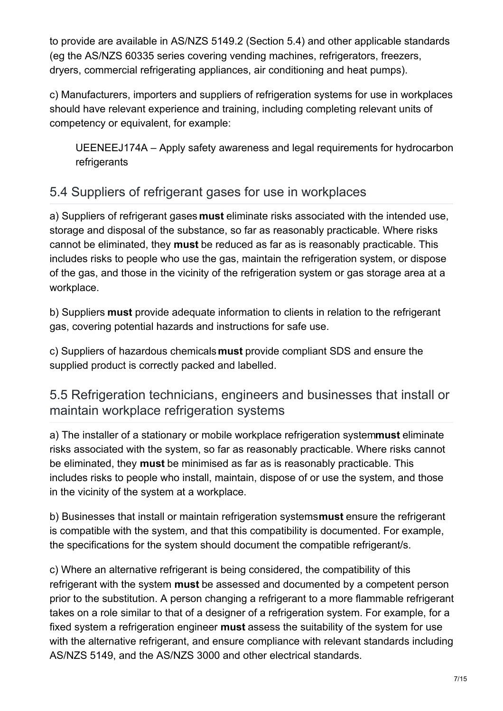to provide are available in AS/NZS 5149.2 (Section 5.4) and other applicable standards (eg the AS/NZS 60335 series covering vending machines, refrigerators, freezers, dryers, commercial refrigerating appliances, air conditioning and heat pumps).

c) Manufacturers, importers and suppliers of refrigeration systems for use in workplaces should have relevant experience and training, including completing relevant units of competency or equivalent, for example:

UEENEEJ174A – Apply safety awareness and legal requirements for hydrocarbon refrigerants

### <span id="page-6-0"></span>5.4 Suppliers of refrigerant gases for use in workplaces

a) Suppliers of refrigerant gases **must** eliminate risks associated with the intended use, storage and disposal of the substance, so far as reasonably practicable. Where risks cannot be eliminated, they **must** be reduced as far as is reasonably practicable. This includes risks to people who use the gas, maintain the refrigeration system, or dispose of the gas, and those in the vicinity of the refrigeration system or gas storage area at a workplace.

b) Suppliers **must** provide adequate information to clients in relation to the refrigerant gas, covering potential hazards and instructions for safe use.

c) Suppliers of hazardous chemicals**must** provide compliant SDS and ensure the supplied product is correctly packed and labelled.

#### <span id="page-6-1"></span>5.5 Refrigeration technicians, engineers and businesses that install or maintain workplace refrigeration systems

a) The installer of a stationary or mobile workplace refrigeration system**must** eliminate risks associated with the system, so far as reasonably practicable. Where risks cannot be eliminated, they **must** be minimised as far as is reasonably practicable. This includes risks to people who install, maintain, dispose of or use the system, and those in the vicinity of the system at a workplace.

b) Businesses that install or maintain refrigeration systems**must** ensure the refrigerant is compatible with the system, and that this compatibility is documented. For example, the specifications for the system should document the compatible refrigerant/s.

c) Where an alternative refrigerant is being considered, the compatibility of this refrigerant with the system **must** be assessed and documented by a competent person prior to the substitution. A person changing a refrigerant to a more flammable refrigerant takes on a role similar to that of a designer of a refrigeration system. For example, for a fixed system a refrigeration engineer **must** assess the suitability of the system for use with the alternative refrigerant, and ensure compliance with relevant standards including AS/NZS 5149, and the AS/NZS 3000 and other electrical standards.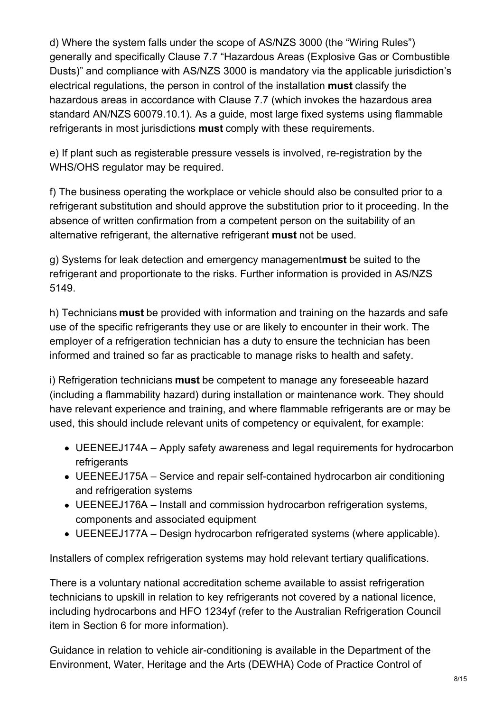d) Where the system falls under the scope of AS/NZS 3000 (the "Wiring Rules") generally and specifically Clause 7.7 "Hazardous Areas (Explosive Gas or Combustible Dusts)" and compliance with AS/NZS 3000 is mandatory via the applicable jurisdiction's electrical regulations, the person in control of the installation **must** classify the hazardous areas in accordance with Clause 7.7 (which invokes the hazardous area standard AN/NZS 60079.10.1). As a guide, most large fixed systems using flammable refrigerants in most jurisdictions **must** comply with these requirements.

e) If plant such as registerable pressure vessels is involved, re-registration by the WHS/OHS regulator may be required.

f) The business operating the workplace or vehicle should also be consulted prior to a refrigerant substitution and should approve the substitution prior to it proceeding. In the absence of written confirmation from a competent person on the suitability of an alternative refrigerant, the alternative refrigerant **must** not be used.

g) Systems for leak detection and emergency management**must** be suited to the refrigerant and proportionate to the risks. Further information is provided in AS/NZS 5149.

h) Technicians **must** be provided with information and training on the hazards and safe use of the specific refrigerants they use or are likely to encounter in their work. The employer of a refrigeration technician has a duty to ensure the technician has been informed and trained so far as practicable to manage risks to health and safety.

i) Refrigeration technicians **must** be competent to manage any foreseeable hazard (including a flammability hazard) during installation or maintenance work. They should have relevant experience and training, and where flammable refrigerants are or may be used, this should include relevant units of competency or equivalent, for example:

- UEENEEJ174A Apply safety awareness and legal requirements for hydrocarbon refrigerants
- UEENEEJ175A Service and repair self-contained hydrocarbon air conditioning and refrigeration systems
- UEENEEJ176A Install and commission hydrocarbon refrigeration systems, components and associated equipment
- UEENEEJ177A Design hydrocarbon refrigerated systems (where applicable).

Installers of complex refrigeration systems may hold relevant tertiary qualifications.

There is a voluntary national accreditation scheme available to assist refrigeration technicians to upskill in relation to key refrigerants not covered by a national licence, including hydrocarbons and HFO 1234yf (refer to the Australian Refrigeration Council item in Section 6 for more information).

Guidance in relation to vehicle air-conditioning is available in the Department of the Environment, Water, Heritage and the Arts (DEWHA) Code of Practice Control of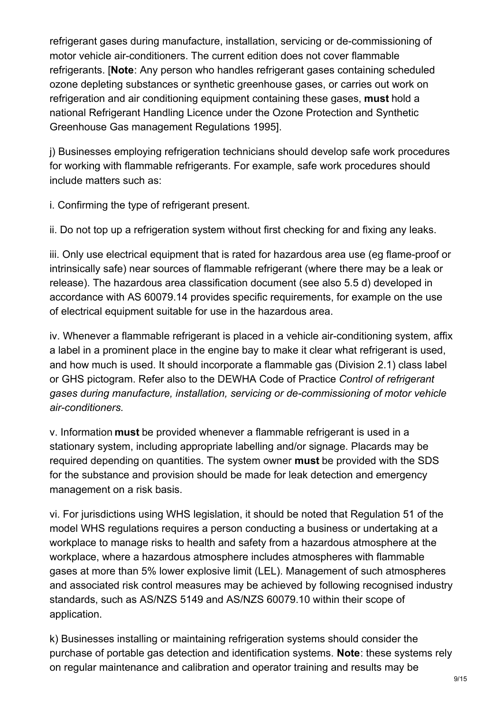refrigerant gases during manufacture, installation, servicing or de-commissioning of motor vehicle air-conditioners. The current edition does not cover flammable refrigerants. [**Note**: Any person who handles refrigerant gases containing scheduled ozone depleting substances or synthetic greenhouse gases, or carries out work on refrigeration and air conditioning equipment containing these gases, **must** hold a national Refrigerant Handling Licence under the Ozone Protection and Synthetic Greenhouse Gas management Regulations 1995].

j) Businesses employing refrigeration technicians should develop safe work procedures for working with flammable refrigerants. For example, safe work procedures should include matters such as:

i. Confirming the type of refrigerant present.

ii. Do not top up a refrigeration system without first checking for and fixing any leaks.

iii. Only use electrical equipment that is rated for hazardous area use (eg flame-proof or intrinsically safe) near sources of flammable refrigerant (where there may be a leak or release). The hazardous area classification document (see also 5.5 d) developed in accordance with AS 60079.14 provides specific requirements, for example on the use of electrical equipment suitable for use in the hazardous area.

iv. Whenever a flammable refrigerant is placed in a vehicle air-conditioning system, affix a label in a prominent place in the engine bay to make it clear what refrigerant is used, and how much is used. It should incorporate a flammable gas (Division 2.1) class label or GHS pictogram. Refer also to the DEWHA Code of Practice *Control of refrigerant gases during manufacture, installation, servicing or de-commissioning of motor vehicle air-conditioners.*

v. Information **must** be provided whenever a flammable refrigerant is used in a stationary system, including appropriate labelling and/or signage. Placards may be required depending on quantities. The system owner **must** be provided with the SDS for the substance and provision should be made for leak detection and emergency management on a risk basis.

vi. For jurisdictions using WHS legislation, it should be noted that Regulation 51 of the model WHS regulations requires a person conducting a business or undertaking at a workplace to manage risks to health and safety from a hazardous atmosphere at the workplace, where a hazardous atmosphere includes atmospheres with flammable gases at more than 5% lower explosive limit (LEL). Management of such atmospheres and associated risk control measures may be achieved by following recognised industry standards, such as AS/NZS 5149 and AS/NZS 60079.10 within their scope of application.

k) Businesses installing or maintaining refrigeration systems should consider the purchase of portable gas detection and identification systems. **Note**: these systems rely on regular maintenance and calibration and operator training and results may be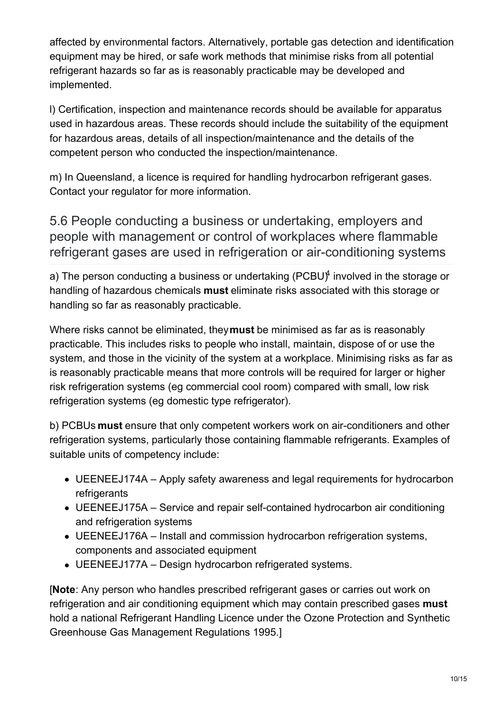affected by environmental factors. Alternatively, portable gas detection and identification equipment may be hired, or safe work methods that minimise risks from all potential refrigerant hazards so far as is reasonably practicable may be developed and implemented.

l) Certification, inspection and maintenance records should be available for apparatus used in hazardous areas. These records should include the suitability of the equipment for hazardous areas, details of all inspection/maintenance and the details of the competent person who conducted the inspection/maintenance.

m) In Queensland, a licence is required for handling hydrocarbon refrigerant gases. Contact your regulator for more information.

<span id="page-9-0"></span>5.6 People conducting a business or undertaking, employers and people with management or control of workplaces where flammable refrigerant gases are used in refrigeration or air-conditioning systems

a) The person conducting a business or undertaking (PCBU) $^\text{4}$  involved in the storage or handling of hazardous chemicals **must** eliminate risks associated with this storage or handling so far as reasonably practicable.

Where risks cannot be eliminated, they**must** be minimised as far as is reasonably practicable. This includes risks to people who install, maintain, dispose of or use the system, and those in the vicinity of the system at a workplace. Minimising risks as far as is reasonably practicable means that more controls will be required for larger or higher risk refrigeration systems (eg commercial cool room) compared with small, low risk refrigeration systems (eg domestic type refrigerator).

b) PCBUs **must** ensure that only competent workers work on air-conditioners and other refrigeration systems, particularly those containing flammable refrigerants. Examples of suitable units of competency include:

- UEENEEJ174A Apply safety awareness and legal requirements for hydrocarbon refrigerants
- UEENEEJ175A Service and repair self-contained hydrocarbon air conditioning and refrigeration systems
- UEENEEJ176A Install and commission hydrocarbon refrigeration systems, components and associated equipment
- UEENEEJ177A Design hydrocarbon refrigerated systems.

[**Note**: Any person who handles prescribed refrigerant gases or carries out work on refrigeration and air conditioning equipment which may contain prescribed gases **must** hold a national Refrigerant Handling Licence under the Ozone Protection and Synthetic Greenhouse Gas Management Regulations 1995.]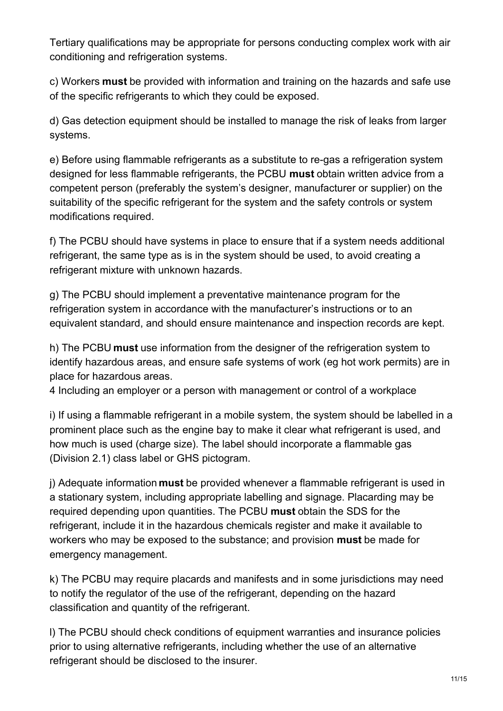Tertiary qualifications may be appropriate for persons conducting complex work with air conditioning and refrigeration systems.

c) Workers **must** be provided with information and training on the hazards and safe use of the specific refrigerants to which they could be exposed.

d) Gas detection equipment should be installed to manage the risk of leaks from larger systems.

e) Before using flammable refrigerants as a substitute to re-gas a refrigeration system designed for less flammable refrigerants, the PCBU **must** obtain written advice from a competent person (preferably the system's designer, manufacturer or supplier) on the suitability of the specific refrigerant for the system and the safety controls or system modifications required.

f) The PCBU should have systems in place to ensure that if a system needs additional refrigerant, the same type as is in the system should be used, to avoid creating a refrigerant mixture with unknown hazards.

g) The PCBU should implement a preventative maintenance program for the refrigeration system in accordance with the manufacturer's instructions or to an equivalent standard, and should ensure maintenance and inspection records are kept.

h) The PCBU **must** use information from the designer of the refrigeration system to identify hazardous areas, and ensure safe systems of work (eg hot work permits) are in place for hazardous areas.

4 Including an employer or a person with management or control of a workplace

i) If using a flammable refrigerant in a mobile system, the system should be labelled in a prominent place such as the engine bay to make it clear what refrigerant is used, and how much is used (charge size). The label should incorporate a flammable gas (Division 2.1) class label or GHS pictogram.

j) Adequate information **must** be provided whenever a flammable refrigerant is used in a stationary system, including appropriate labelling and signage. Placarding may be required depending upon quantities. The PCBU **must** obtain the SDS for the refrigerant, include it in the hazardous chemicals register and make it available to workers who may be exposed to the substance; and provision **must** be made for emergency management.

k) The PCBU may require placards and manifests and in some jurisdictions may need to notify the regulator of the use of the refrigerant, depending on the hazard classification and quantity of the refrigerant.

l) The PCBU should check conditions of equipment warranties and insurance policies prior to using alternative refrigerants, including whether the use of an alternative refrigerant should be disclosed to the insurer.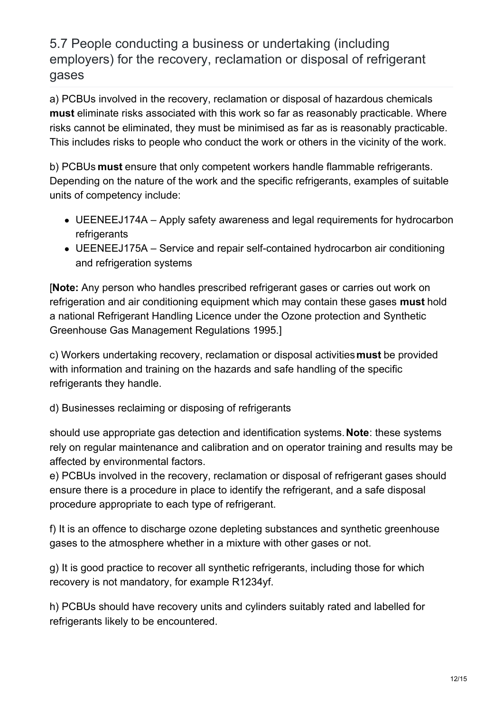<span id="page-11-0"></span>5.7 People conducting a business or undertaking (including employers) for the recovery, reclamation or disposal of refrigerant gases

a) PCBUs involved in the recovery, reclamation or disposal of hazardous chemicals **must** eliminate risks associated with this work so far as reasonably practicable. Where risks cannot be eliminated, they must be minimised as far as is reasonably practicable. This includes risks to people who conduct the work or others in the vicinity of the work.

b) PCBUs **must** ensure that only competent workers handle flammable refrigerants. Depending on the nature of the work and the specific refrigerants, examples of suitable units of competency include:

- UEENEEJ174A Apply safety awareness and legal requirements for hydrocarbon refrigerants
- UEENEEJ175A Service and repair self-contained hydrocarbon air conditioning and refrigeration systems

[**Note:** Any person who handles prescribed refrigerant gases or carries out work on refrigeration and air conditioning equipment which may contain these gases **must** hold a national Refrigerant Handling Licence under the Ozone protection and Synthetic Greenhouse Gas Management Regulations 1995.]

c) Workers undertaking recovery, reclamation or disposal activities**must** be provided with information and training on the hazards and safe handling of the specific refrigerants they handle.

d) Businesses reclaiming or disposing of refrigerants

should use appropriate gas detection and identification systems.**Note**: these systems rely on regular maintenance and calibration and on operator training and results may be affected by environmental factors.

e) PCBUs involved in the recovery, reclamation or disposal of refrigerant gases should ensure there is a procedure in place to identify the refrigerant, and a safe disposal procedure appropriate to each type of refrigerant.

f) It is an offence to discharge ozone depleting substances and synthetic greenhouse gases to the atmosphere whether in a mixture with other gases or not.

g) It is good practice to recover all synthetic refrigerants, including those for which recovery is not mandatory, for example R1234yf.

h) PCBUs should have recovery units and cylinders suitably rated and labelled for refrigerants likely to be encountered.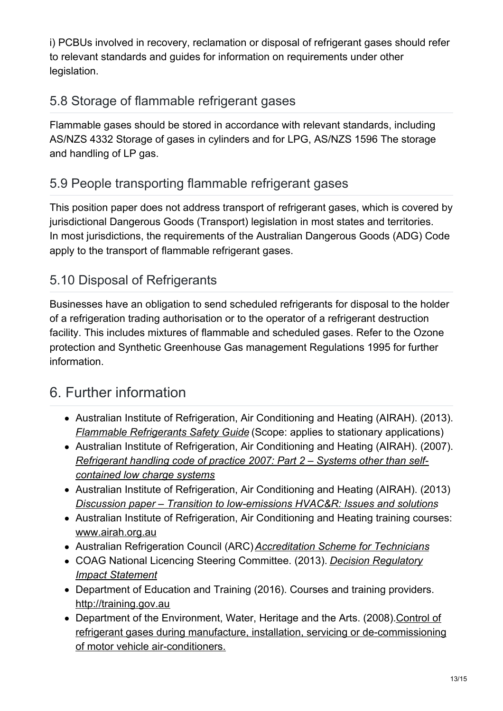i) PCBUs involved in recovery, reclamation or disposal of refrigerant gases should refer to relevant standards and guides for information on requirements under other legislation.

## <span id="page-12-0"></span>5.8 Storage of flammable refrigerant gases

Flammable gases should be stored in accordance with relevant standards, including AS/NZS 4332 Storage of gases in cylinders and for LPG, AS/NZS 1596 The storage and handling of LP gas.

## <span id="page-12-1"></span>5.9 People transporting flammable refrigerant gases

This position paper does not address transport of refrigerant gases, which is covered by jurisdictional Dangerous Goods (Transport) legislation in most states and territories. In most jurisdictions, the requirements of the Australian Dangerous Goods (ADG) Code apply to the transport of flammable refrigerant gases.

## <span id="page-12-2"></span>5.10 Disposal of Refrigerants

Businesses have an obligation to send scheduled refrigerants for disposal to the holder of a refrigeration trading authorisation or to the operator of a refrigerant destruction facility. This includes mixtures of flammable and scheduled gases. Refer to the Ozone protection and Synthetic Greenhouse Gas management Regulations 1995 for further information.

## <span id="page-12-3"></span>6. Further information

- Australian Institute of Refrigeration, Air Conditioning and Heating (AIRAH). (2013). *Flammable [Refrigerants](http://www.airah.org.au/ItemDetail?iProductCode=FRSG BOOKLET&Category=DAMANUALS&WebsiteKey=31502b89-5f68-472f-b0e9-cee374551e18) Safety Guide* (Scope: applies to stationary applications)
- Australian Institute of Refrigeration, Air Conditioning and Heating (AIRAH). (2007). *[Refrigerant](http://www.airah.org.au/Content_Files/TechnicalPublications/ANZ-RHCOP2007-Part2.pdf) handling code of practice 2007: Part 2 – Systems other than selfcontained low charge systems*
- Australian Institute of Refrigeration, Air Conditioning and Heating (AIRAH). (2013) *Discussion paper – Transition to [low-emissions](http://www.airah.org.au/Content_Files/PRIME/AIRAH_Transition_to_low_emission_HVACR_Issues_and_solutions.pdf) HVAC&R: Issues and solutions*
- Australian Institute of Refrigeration, Air Conditioning and Heating training courses: [www.airah.org.au](http://www.airah.org.au/)
- Australian Refrigeration Council (ARC)*[Accreditation](https://www.arcltd.org.au/green-scheme-accreditation/) Scheme for Technicians*
- COAG National Licencing Steering [Committee.](https://ris.pmc.gov.au/2014/07/10/national-licensing-refrigeration-and-air-conditioning-occupations-%E2%80%93-coag-decision-ris-%E2%80%93) (2013). *Decision Regulatory Impact Statement*
- Department of Education and Training (2016). Courses and training providers. [http://training.gov.au](http://training.gov.au/)
- Department of the Environment, Water, Heritage and the Arts. (2008). Control of refrigerant gases during manufacture, installation, servicing or [de-commissioning](http://www.arctick.org/media/1033/automotive_rac_cop.pdf) of motor vehicle air-conditioners.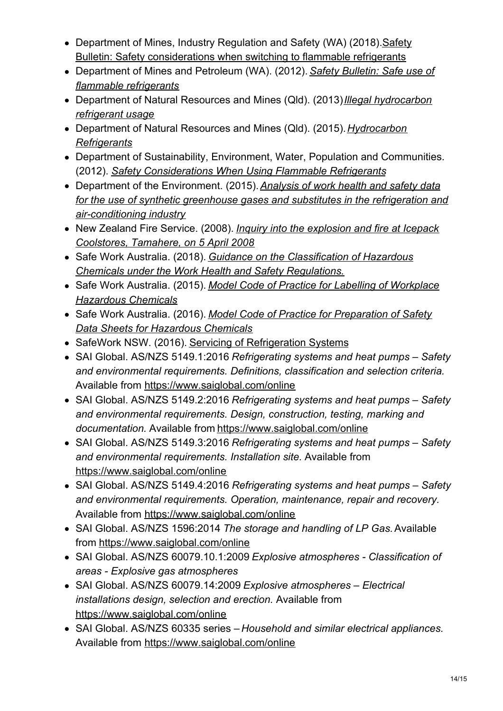- Department of Mines, Industry Regulation and Safety (WA) [\(2018\).Safety](http://www.dmp.wa.gov.au/Safety/Dangerous-goods-safety-alerts-13195.aspx) Bulletin: Safety considerations when switching to flammable refrigerants
- [Department](http://www.dmp.wa.gov.au/Documents/Safety/MSH_SB_100.pdf) of Mines and Petroleum (WA). (2012). *Safety Bulletin: Safe use of flammable refrigerants*
- Department of Natural Resources and Mines (Qld). (2013)*Illegal [hydrocarbon](https://www.dnrme.qld.gov.au/business/mining/safety-and-health/alerts-and-bulletins/petroleum-gas/illegal-hc-refrigerant-usage) refrigerant usage*
- Department of Natural Resources and Mines (Qld). (2015).*[Hydrocarbon](https://www.business.qld.gov.au/industries/mining-energy-water/resources/safety-health/petroleum-gas/licences-authorisations/technical-guidelines-gaswork/hydrocarbon-refrigerants) Refrigerants*
- Department of Sustainability, Environment, Water, Population and Communities. (2012). *Safety [Considerations](https://www.environment.gov.au/protection/ozone/rac/safety-considerations) When Using Flammable Refrigerants*
- Department of the Environment. (2015).*Analysis of work health and safety data for the use of synthetic greenhouse gases and substitutes in the refrigeration and [air-conditioning](https://www.environment.gov.au/protection/ozone/publications/2015-analysis-whs-data-rac-industry) industry*
- New Zealand Fire Service. (2008). *Inquiry into the explosion and fire at Icepack [Coolstores,](https://www.parliament.nz/resource/0000145544) Tamahere, on 5 April 2008*
- Safe Work Australia. (2018). *Guidance on the [Classification](https://www.safeworkaustralia.gov.au/doc/classifying-hazardous-chemicals-national-guide) of Hazardous Chemicals under the Work Health and Safety Regulations.*
- Safe Work Australia. (2015). *Model Code of Practice for Labelling of [Workplace](https://www.safeworkaustralia.gov.au/labelling#codeguides) Hazardous Chemicals*
- Safe Work Australia. (2016). *Model Code of Practice for [Preparation](http://www.safeworkaustralia.gov.au/sites/swa/about/publications/pages/safety-data-sheets-hazardous-chemicals-cop) of Safety Data Sheets for Hazardous Chemicals*
- SafeWork NSW. (2016). Servicing of [Refrigeration](https://www.safework.nsw.gov.au/resources-library/list-of-all-safety-alerts/safety-alerts/servicing-of-refrigerant-systems) Systems
- SAI Global. AS/NZS 5149.1:2016 *Refrigerating systems and heat pumps – Safety and environmental requirements. Definitions, classification and selection criteria.* Available from <https://www.saiglobal.com/online>
- SAI Global. AS/NZS 5149.2:2016 *Refrigerating systems and heat pumps – Safety and environmental requirements. Design, construction, testing, marking and documentation.* Available from <https://www.saiglobal.com/online>
- SAI Global. AS/NZS 5149.3:2016 *Refrigerating systems and heat pumps – Safety and environmental requirements. Installation site.* Available from <https://www.saiglobal.com/online>
- SAI Global. AS/NZS 5149.4:2016 *Refrigerating systems and heat pumps – Safety and environmental requirements. Operation, maintenance, repair and recovery.* Available from <https://www.saiglobal.com/online>
- SAI Global. AS/NZS 1596:2014 *The storage and handling of LP Gas.*Available from <https://www.saiglobal.com/online>
- SAI Global. AS/NZS 60079.10.1:2009 *Explosive atmospheres - Classification of areas - Explosive gas atmospheres*
- SAI Global. AS/NZS 60079.14:2009 *Explosive atmospheres – Electrical installations design, selection and erection.* Available from <https://www.saiglobal.com/online>
- SAI Global. AS/NZS 60335 series *Household and similar electrical appliances.* Available from <https://www.saiglobal.com/online>